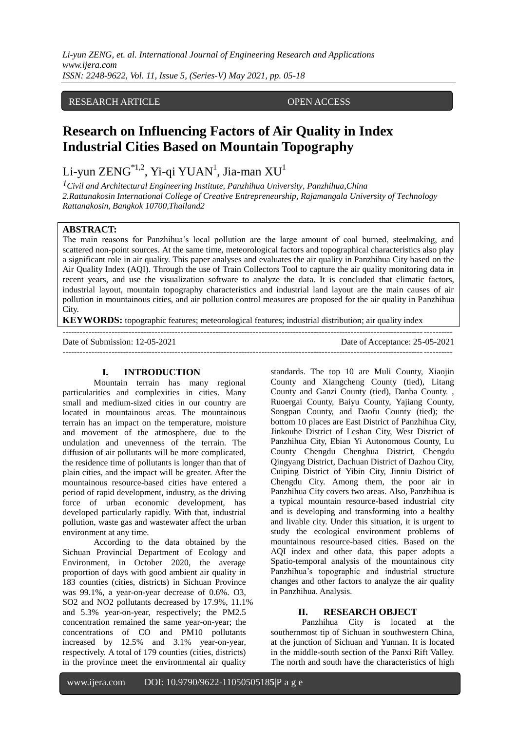*Li-yun ZENG, et. al. International Journal of Engineering Research and Applications www.ijera.com ISSN: 2248-9622, Vol. 11, Issue 5, (Series-V) May 2021, pp. 05-18*

## RESEARCH ARTICLE OPEN ACCESS

# **Research on Influencing Factors of Air Quality in Index Industrial Cities Based on Mountain Topography**

Li-yun ZENG $^{\ast_{1,2}}$ , Yi-qi YUAN $^{\mathrm{l}}$ , Jia-man XU $^{\mathrm{l}}$ 

*1Civil and Architectural Engineering Institute, Panzhihua University, Panzhihua,China 2.Rattanakosin International College of Creative Entrepreneurship, Rajamangala University of Technology Rattanakosin, Bangkok 10700,Thailand2*

## **ABSTRACT:**

The main reasons for Panzhihua's local pollution are the large amount of coal burned, steelmaking, and scattered non-point sources. At the same time, meteorological factors and topographical characteristics also play a significant role in air quality. This paper analyses and evaluates the air quality in Panzhihua City based on the Air Quality Index (AQI). Through the use of Train Collectors Tool to capture the air quality monitoring data in recent years, and use the visualization software to analyze the data. It is concluded that climatic factors, industrial layout, mountain topography characteristics and industrial land layout are the main causes of air pollution in mountainous cities, and air pollution control measures are proposed for the air quality in Panzhihua City.

**KEYWORDS:** topographic features; meteorological features; industrial distribution; air quality index

Date of Submission: 12-05-2021 Date of Acceptance: 25-05-2021 ---------------------------------------------------------------------------------------------------------------------------------------

## **I. INTRODUCTION**

Mountain terrain has many regional particularities and complexities in cities. Many small and medium-sized cities in our country are located in mountainous areas. The mountainous terrain has an impact on the temperature, moisture and movement of the atmosphere, due to the undulation and unevenness of the terrain. The diffusion of air pollutants will be more complicated, the residence time of pollutants is longer than that of plain cities, and the impact will be greater. After the mountainous resource-based cities have entered a period of rapid development, industry, as the driving force of urban economic development, has developed particularly rapidly. With that, industrial pollution, waste gas and wastewater affect the urban environment at any time.

According to the data obtained by the Sichuan Provincial Department of Ecology and Environment, in October 2020, the average proportion of days with good ambient air quality in 183 counties (cities, districts) in Sichuan Province was 99.1%, a year-on-year decrease of 0.6%. O3, SO2 and NO2 pollutants decreased by 17.9%, 11.1% and 5.3% year-on-year, respectively; the PM2.5 concentration remained the same year-on-year; the concentrations of CO and PM10 pollutants increased by 12.5% and 3.1% year-on-year, respectively. A total of 179 counties (cities, districts) in the province meet the environmental air quality

standards. The top 10 are Muli County, Xiaojin County and Xiangcheng County (tied), Litang County and Ganzi County (tied), Danba County. , Ruoergai County, Baiyu County, Yajiang County, Songpan County, and Daofu County (tied); the bottom 10 places are East District of Panzhihua City, Jinkouhe District of Leshan City, West District of Panzhihua City, Ebian Yi Autonomous County, Lu County Chengdu Chenghua District, Chengdu Qingyang District, Dachuan District of Dazhou City, Cuiping District of Yibin City, Jinniu District of Chengdu City. Among them, the poor air in Panzhihua City covers two areas. Also, Panzhihua is a typical mountain resource-based industrial city and is developing and transforming into a healthy and livable city. Under this situation, it is urgent to study the ecological environment problems of mountainous resource-based cities. Based on the AQI index and other data, this paper adopts a Spatio-temporal analysis of the mountainous city Panzhihua's topographic and industrial structure changes and other factors to analyze the air quality in Panzhihua. Analysis.

## **II. RESEARCH OBJECT**

Panzhihua City is located at the southernmost tip of Sichuan in southwestern China, at the junction of Sichuan and Yunnan. It is located in the middle-south section of the Panxi Rift Valley. The north and south have the characteristics of high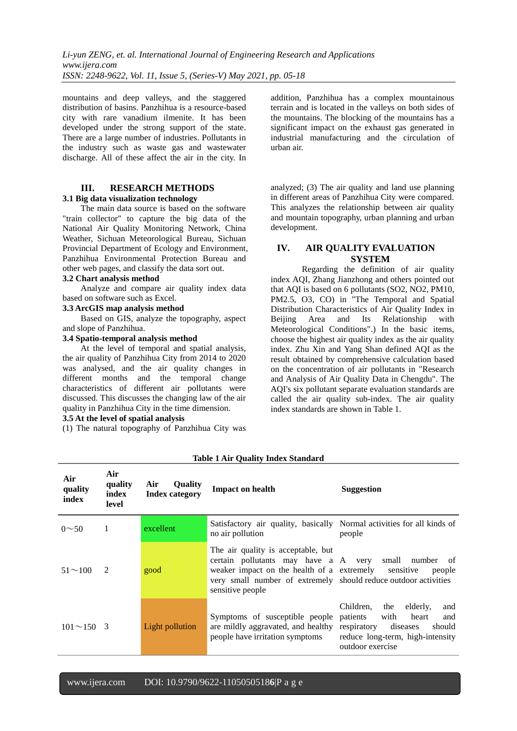mountains and deep valleys, and the staggered distribution of basins. Panzhihua is a resource-based city with rare vanadium ilmenite. It has been developed under the strong support of the state. There are a large number of industries. Pollutants in the industry such as waste gas and wastewater discharge. All of these affect the air in the city. In

## **III. RESEARCH METHODS**

#### **3.1 Big data visualization technology**

The main data source is based on the software "train collector" to capture the big data of the National Air Quality Monitoring Network, China Weather, Sichuan Meteorological Bureau, Sichuan Provincial Department of Ecology and Environment, Panzhihua Environmental Protection Bureau and other web pages, and classify the data sort out.

## **3.2 Chart analysis method**

Analyze and compare air quality index data based on software such as Excel.

## **3.3 ArcGIS map analysis method**

Based on GIS, analyze the topography, aspect and slope of Panzhihua.

## **3.4 Spatio-temporal analysis method**

At the level of temporal and spatial analysis, the air quality of Panzhihua City from 2014 to 2020 was analysed, and the air quality changes in different months and the temporal change characteristics of different air pollutants were discussed. This discusses the changing law of the air quality in Panzhihua City in the time dimension.

## **3.5 At the level of spatial analysis**

(1) The natural topography of Panzhihua City was

addition, Panzhihua has a complex mountainous terrain and is located in the valleys on both sides of the mountains. The blocking of the mountains has a significant impact on the exhaust gas generated in industrial manufacturing and the circulation of urban air.

analyzed; (3) The air quality and land use planning in different areas of Panzhihua City were compared. This analyzes the relationship between air quality and mountain topography, urban planning and urban development.

## **IV. AIR QUALITY EVALUATION SYSTEM**

Regarding the definition of air quality index AQI, Zhang Jianzhong and others pointed out that AQI is based on 6 pollutants (SO2, NO2, PM10, PM2.5, O3, CO) in "The Temporal and Spatial Distribution Characteristics of Air Quality Index in Beijing Area and Its Relationship with Meteorological Conditions".) In the basic items, choose the highest air quality index as the air quality index. Zhu Xin and Yang Shan defined AQI as the result obtained by comprehensive calculation based on the concentration of air pollutants in "Research and Analysis of Air Quality Data in Chengdu". The AQI's six pollutant separate evaluation standards are called the air quality sub-index. The air quality index standards are shown in Table 1.

| Air<br>quality<br>index | Air<br>quality<br>index<br>level | <b>Ouality</b><br>Air<br><b>Index category</b> | <b>Impact on health</b>                                                                                                                                                                                                                   | <b>Suggestion</b>                                                                                                                                     |  |  |
|-------------------------|----------------------------------|------------------------------------------------|-------------------------------------------------------------------------------------------------------------------------------------------------------------------------------------------------------------------------------------------|-------------------------------------------------------------------------------------------------------------------------------------------------------|--|--|
| $0 \sim 50$             | 1                                | excellent                                      | Satisfactory air quality, basically Normal activities for all kinds of<br>no air pollution                                                                                                                                                | people                                                                                                                                                |  |  |
| $51 \sim 100$           | $\mathcal{L}$                    | good                                           | The air quality is acceptable, but<br>certain pollutants may have a A very small number of<br>weaker impact on the health of a extremely sensitive<br>very small number of extremely should reduce outdoor activities<br>sensitive people | people                                                                                                                                                |  |  |
| $101 \sim 150$ 3        |                                  | Light pollution                                | Symptoms of susceptible people<br>are mildly aggravated, and healthy respiratory<br>people have irritation symptoms                                                                                                                       | Children,<br>the<br>elderly,<br>and<br>and<br>with<br>heart<br>patients<br>diseases<br>should<br>reduce long-term, high-intensity<br>outdoor exercise |  |  |

#### **Table 1 Air Quality Index Standard**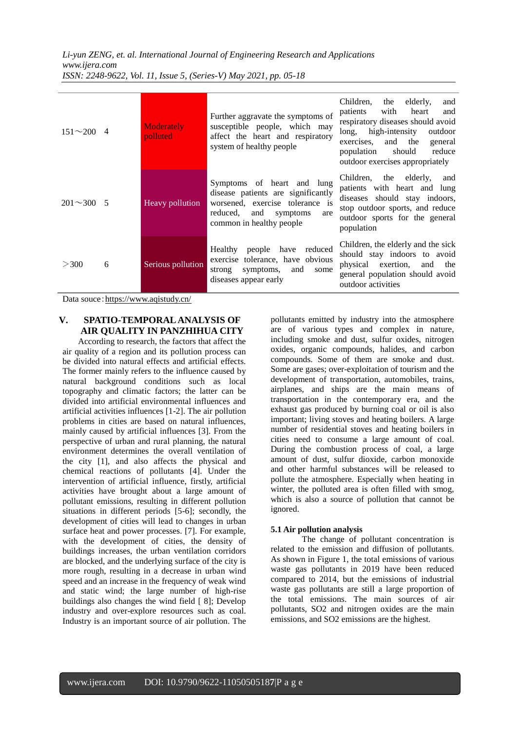*Li-yun ZENG, et. al. International Journal of Engineering Research and Applications www.ijera.com ISSN: 2248-9622, Vol. 11, Issue 5, (Series-V) May 2021, pp. 05-18*

| $151 \sim 200$ 4 |   | Moderately<br>polluted | Further aggravate the symptoms of<br>susceptible people, which may<br>affect the heart and respiratory<br>system of healthy people                                    | Children,<br>elderly,<br>and<br>the<br>with<br>and<br>patients<br>heart<br>respiratory diseases should avoid<br>long,<br>high-intensity<br>outdoor<br>and the<br>exercises.<br>general<br>reduce<br>population<br>should<br>outdoor exercises appropriately |
|------------------|---|------------------------|-----------------------------------------------------------------------------------------------------------------------------------------------------------------------|-------------------------------------------------------------------------------------------------------------------------------------------------------------------------------------------------------------------------------------------------------------|
| $201 \sim 300$ 5 |   | Heavy pollution        | Symptoms of heart and lung<br>disease patients are significantly<br>worsened, exercise tolerance is<br>and<br>reduced,<br>symptoms<br>are<br>common in healthy people | Children, the elderly,<br>and<br>patients with heart and lung<br>diseases should stay indoors,<br>stop outdoor sports, and reduce<br>outdoor sports for the general<br>population                                                                           |
| >300             | 6 | Serious pollution      | people have reduced<br>Healthy<br>exercise tolerance, have obvious<br>symptoms,<br>strong<br>and<br>some<br>diseases appear early                                     | Children, the elderly and the sick<br>should stay indoors to avoid<br>physical<br>exertion,<br>and<br>the<br>general population should avoid<br>outdoor activities                                                                                          |

Data souce: <https://www.aqistudy.cn/>

## **V. SPATIO-TEMPORAL ANALYSIS OF AIR QUALITY IN PANZHIHUA CITY**

According to research, the factors that affect the air quality of a region and its pollution process can be divided into natural effects and artificial effects. The former mainly refers to the influence caused by natural background conditions such as local topography and climatic factors; the latter can be divided into artificial environmental influences and artificial activities influences [1-2]. The air pollution problems in cities are based on natural influences, mainly caused by artificial influences [3]. From the perspective of urban and rural planning, the natural environment determines the overall ventilation of the city [1], and also affects the physical and chemical reactions of pollutants [4]. Under the intervention of artificial influence, firstly, artificial activities have brought about a large amount of pollutant emissions, resulting in different pollution situations in different periods [5-6]; secondly, the development of cities will lead to changes in urban surface heat and power processes. [7]. For example, with the development of cities, the density of buildings increases, the urban ventilation corridors are blocked, and the underlying surface of the city is more rough, resulting in a decrease in urban wind speed and an increase in the frequency of weak wind and static wind; the large number of high-rise buildings also changes the wind field [ 8]; Develop industry and over-explore resources such as coal. Industry is an important source of air pollution. The pollutants emitted by industry into the atmosphere are of various types and complex in nature, including smoke and dust, sulfur oxides, nitrogen oxides, organic compounds, halides, and carbon compounds. Some of them are smoke and dust. Some are gases; over-exploitation of tourism and the development of transportation, automobiles, trains, airplanes, and ships are the main means of transportation in the contemporary era, and the exhaust gas produced by burning coal or oil is also important; living stoves and heating boilers. A large number of residential stoves and heating boilers in cities need to consume a large amount of coal. During the combustion process of coal, a large amount of dust, sulfur dioxide, carbon monoxide and other harmful substances will be released to pollute the atmosphere. Especially when heating in winter, the polluted area is often filled with smog, which is also a source of pollution that cannot be ignored.

## **5.1 Air pollution analysis**

The change of pollutant concentration is related to the emission and diffusion of pollutants. As shown in Figure 1, the total emissions of various waste gas pollutants in 2019 have been reduced compared to 2014, but the emissions of industrial waste gas pollutants are still a large proportion of the total emissions. The main sources of air pollutants, SO2 and nitrogen oxides are the main emissions, and SO2 emissions are the highest.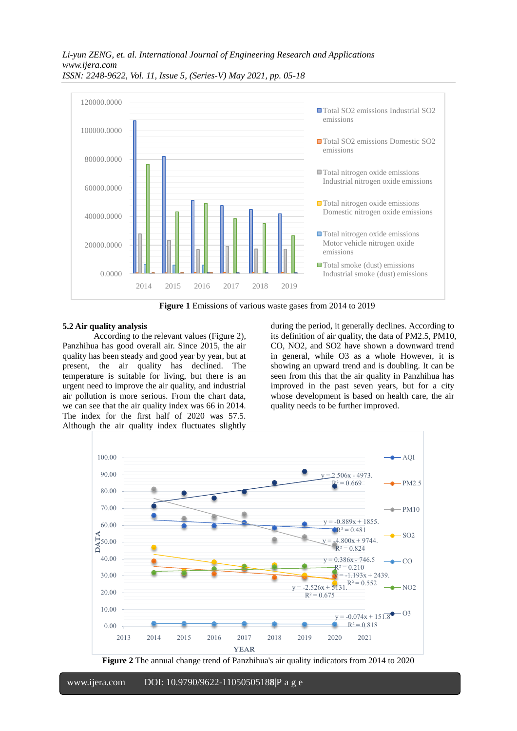

**Figure 1** Emissions of various waste gases from 2014 to 2019

## **5.2 Air quality analysis**

According to the relevant values (Figure 2), Panzhihua has good overall air. Since 2015, the air quality has been steady and good year by year, but at present, the air quality has declined. The temperature is suitable for living, but there is an urgent need to improve the air quality, and industrial air pollution is more serious. From the chart data, we can see that the air quality index was 66 in 2014. The index for the first half of 2020 was 57.5. Although the air quality index fluctuates slightly

during the period, it generally declines. According to its definition of air quality, the data of PM2.5, PM10, CO, NO2, and SO2 have shown a downward trend in general, while O3 as a whole However, it is showing an upward trend and is doubling. It can be seen from this that the air quality in Panzhihua has improved in the past seven years, but for a city whose development is based on health care, the air quality needs to be further improved.



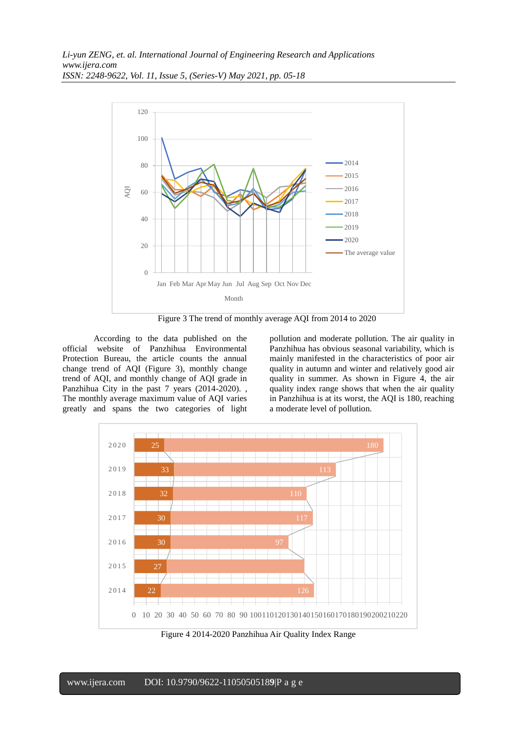

Figure 3 The trend of monthly average AQI from 2014 to 2020

According to the data published on the official website of Panzhihua Environmental Protection Bureau, the article counts the annual change trend of AQI (Figure 3), monthly change trend of AQI, and monthly change of AQI grade in Panzhihua City in the past 7 years (2014-2020). , The monthly average maximum value of AQI varies greatly and spans the two categories of light pollution and moderate pollution. The air quality in Panzhihua has obvious seasonal variability, which is mainly manifested in the characteristics of poor air quality in autumn and winter and relatively good air quality in summer. As shown in Figure 4, the air quality index range shows that when the air quality in Panzhihua is at its worst, the AQI is 180, reaching a moderate level of pollution.



Figure 4 2014-2020 Panzhihua Air Quality Index Range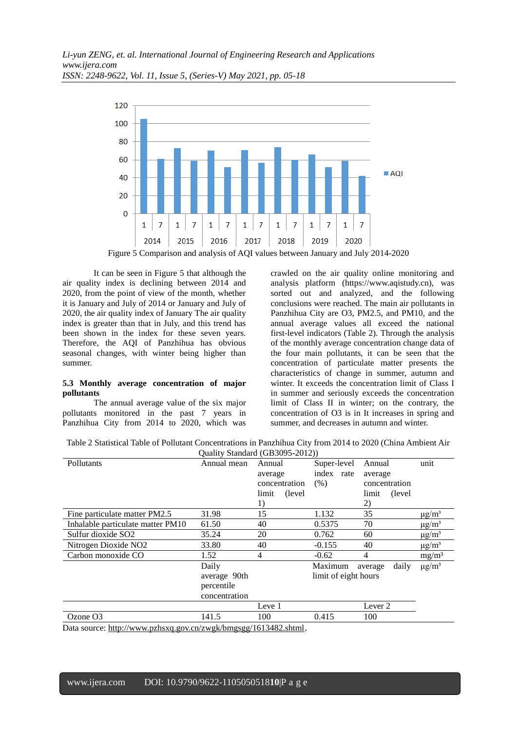

Figure 5 Comparison and analysis of AQI values between January and July 2014-2020

It can be seen in Figure 5 that although the air quality index is declining between 2014 and 2020, from the point of view of the month, whether it is January and July of 2014 or January and July of 2020, the air quality index of January The air quality index is greater than that in July, and this trend has been shown in the index for these seven years. Therefore, the AQI of Panzhihua has obvious seasonal changes, with winter being higher than summer.

### **5.3 Monthly average concentration of major pollutants**

The annual average value of the six major pollutants monitored in the past 7 years in Panzhihua City from 2014 to 2020, which was

crawled on the air quality online monitoring and analysis platform (https://www.aqistudy.cn), was sorted out and analyzed, and the following conclusions were reached. The main air pollutants in Panzhihua City are O3, PM2.5, and PM10, and the annual average values all exceed the national first-level indicators (Table 2). Through the analysis of the monthly average concentration change data of the four main pollutants, it can be seen that the concentration of particulate matter presents the characteristics of change in summer, autumn and winter. It exceeds the concentration limit of Class I in summer and seriously exceeds the concentration limit of Class II in winter; on the contrary, the concentration of O3 is in It increases in spring and summer, and decreases in autumn and winter.

Table 2 Statistical Table of Pollutant Concentrations in Panzhihua City from 2014 to 2020 (China Ambient Air Quality Standard (GB3095-2012))

| $\circ$ aant, baanaar (0.0000) 2012) |               |                      |             |                    |                        |  |  |  |  |
|--------------------------------------|---------------|----------------------|-------------|--------------------|------------------------|--|--|--|--|
| Pollutants                           | Annual mean   | Annual               | Super-level | Annual             | unit                   |  |  |  |  |
|                                      |               | average              | index rate  | average            |                        |  |  |  |  |
|                                      |               | concentration        | (% )        | concentration      |                        |  |  |  |  |
|                                      |               | (level)<br>limit     |             | (level)<br>limit   |                        |  |  |  |  |
|                                      |               | 1)                   |             | 2)                 |                        |  |  |  |  |
| Fine particulate matter PM2.5        | 31.98         | 15                   | 1.132       | 35                 | $\mu$ g/m <sup>3</sup> |  |  |  |  |
| Inhalable particulate matter PM10    | 61.50         | 40                   | 0.5375      | 70                 | $\mu$ g/m <sup>3</sup> |  |  |  |  |
| Sulfur dioxide SO2                   | 35.24         | 20                   | 0.762       | 60                 | $\mu$ g/m <sup>3</sup> |  |  |  |  |
| Nitrogen Dioxide NO <sub>2</sub>     | 33.80         | 40                   | $-0.155$    | 40                 | $\mu$ g/m <sup>3</sup> |  |  |  |  |
| Carbon monoxide CO                   | 1.52          | $\overline{4}$       | $-0.62$     | $\overline{4}$     | mg/m <sup>3</sup>      |  |  |  |  |
|                                      | Daily         |                      | Maximum     | daily<br>average   | $\mu$ g/m <sup>3</sup> |  |  |  |  |
|                                      | average 90th  | limit of eight hours |             |                    |                        |  |  |  |  |
|                                      | percentile    |                      |             |                    |                        |  |  |  |  |
|                                      | concentration |                      |             |                    |                        |  |  |  |  |
|                                      |               | Leve 1               |             | Lever <sub>2</sub> |                        |  |  |  |  |
| Ozone O <sub>3</sub>                 | 141.5         | 100                  | 0.415       | 100                |                        |  |  |  |  |
|                                      |               |                      |             |                    |                        |  |  |  |  |

Data source[: http://www.pzhsxq.gov.cn/zwgk/bmgsgg/1613482.shtml](http://www.pzhsxq.gov.cn/zwgk/bmgsgg/1613482.shtml3),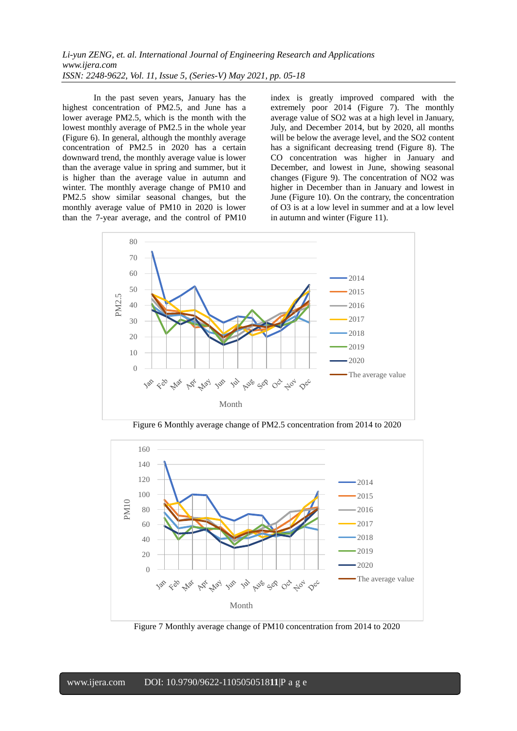In the past seven years, January has the highest concentration of PM2.5, and June has a lower average PM2.5, which is the month with the lowest monthly average of PM2.5 in the whole year (Figure 6). In general, although the monthly average concentration of PM2.5 in 2020 has a certain downward trend, the monthly average value is lower than the average value in spring and summer, but it is higher than the average value in autumn and winter. The monthly average change of PM10 and PM2.5 show similar seasonal changes, but the monthly average value of PM10 in 2020 is lower than the 7-year average, and the control of PM10 index is greatly improved compared with the extremely poor 2014 (Figure 7). The monthly average value of SO2 was at a high level in January, July, and December 2014, but by 2020, all months will be below the average level, and the SO2 content has a significant decreasing trend (Figure 8). The CO concentration was higher in January and December, and lowest in June, showing seasonal changes (Figure 9). The concentration of NO2 was higher in December than in January and lowest in June (Figure 10). On the contrary, the concentration of O3 is at a low level in summer and at a low level in autumn and winter (Figure 11).



Figure 6 Monthly average change of PM2.5 concentration from 2014 to 2020



Figure 7 Monthly average change of PM10 concentration from 2014 to 2020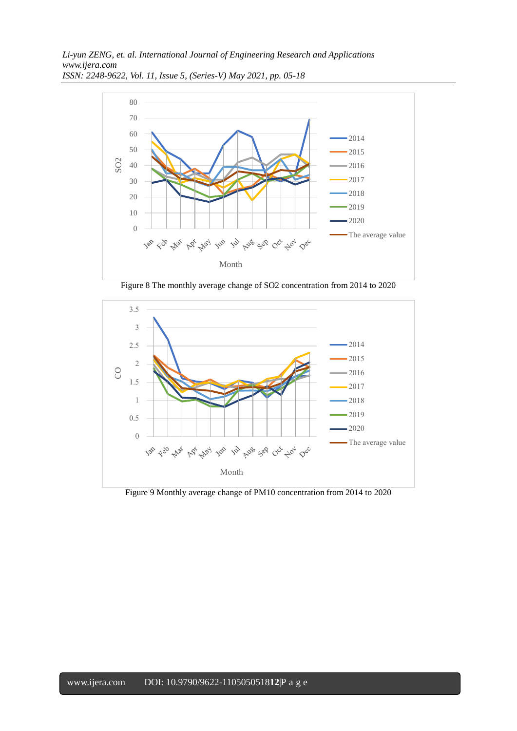

Figure 8 The monthly average change of SO2 concentration from 2014 to 2020



Figure 9 Monthly average change of PM10 concentration from 2014 to 2020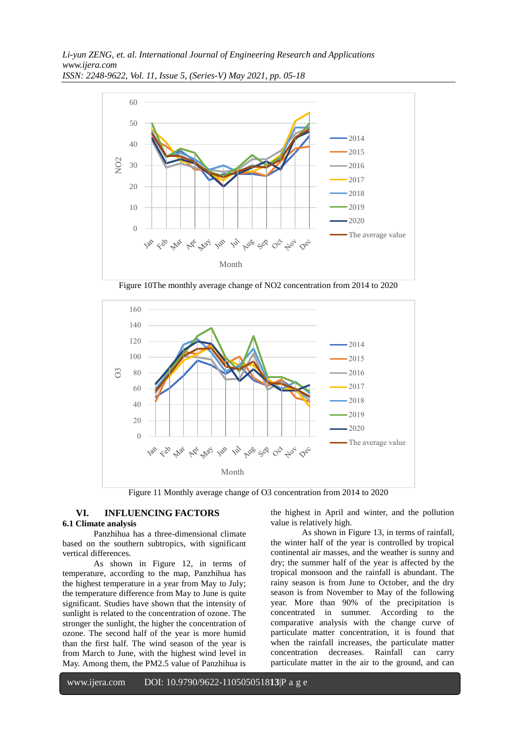

Figure 10The monthly average change of NO2 concentration from 2014 to 2020



Figure 11 Monthly average change of O3 concentration from 2014 to 2020

## **VI. INFLUENCING FACTORS**

## **6.1 Climate analysis**

Panzhihua has a three-dimensional climate based on the southern subtropics, with significant vertical differences.

As shown in Figure 12, in terms of temperature, according to the map, Panzhihua has the highest temperature in a year from May to July; the temperature difference from May to June is quite significant. Studies have shown that the intensity of sunlight is related to the concentration of ozone. The stronger the sunlight, the higher the concentration of ozone. The second half of the year is more humid than the first half. The wind season of the year is from March to June, with the highest wind level in May. Among them, the PM2.5 value of Panzhihua is

the highest in April and winter, and the pollution value is relatively high.

As shown in Figure 13, in terms of rainfall, the winter half of the year is controlled by tropical continental air masses, and the weather is sunny and dry; the summer half of the year is affected by the tropical monsoon and the rainfall is abundant. The rainy season is from June to October, and the dry season is from November to May of the following year. More than 90% of the precipitation is concentrated in summer. According to the comparative analysis with the change curve of particulate matter concentration, it is found that when the rainfall increases, the particulate matter concentration decreases. Rainfall can carry particulate matter in the air to the ground, and can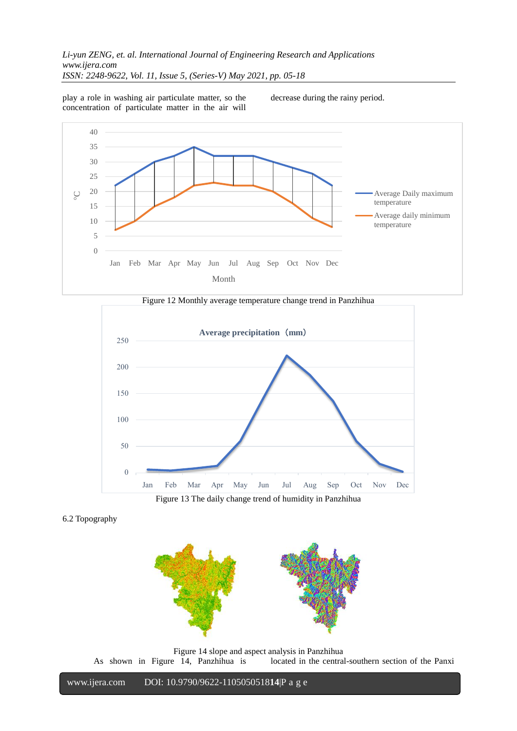play a role in washing air particulate matter, so the concentration of particulate matter in the air will decrease during the rainy period.







Figure 13 The daily change trend of humidity in Panzhihua





Figure 14 slope and aspect analysis in Panzhihua<br>As shown in Figure 14, Panzhihua is located in the central located in the central-southern section of the Panxi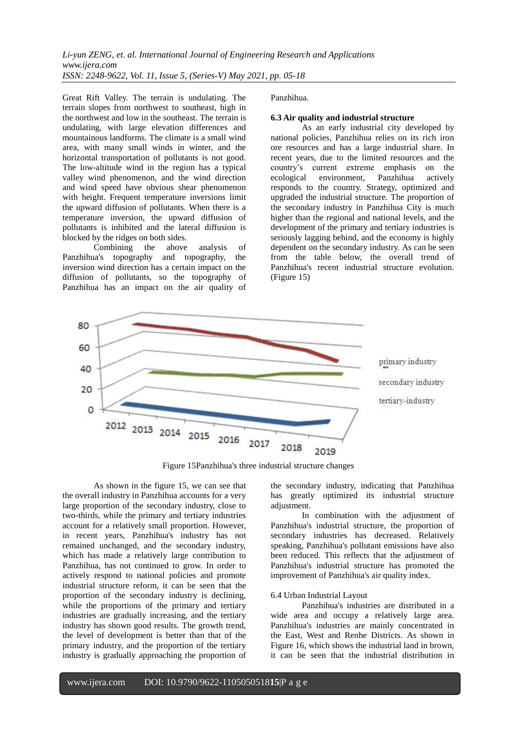Great Rift Valley. The terrain is undulating. The terrain slopes from northwest to southeast, high in the northwest and low in the southeast. The terrain is undulating, with large elevation differences and mountainous landforms. The climate is a small wind area, with many small winds in winter, and the horizontal transportation of pollutants is not good. The low-altitude wind in the region has a typical valley wind phenomenon, and the wind direction and wind speed have obvious shear phenomenon with height. Frequent temperature inversions limit the upward diffusion of pollutants. When there is a temperature inversion, the upward diffusion of pollutants is inhibited and the lateral diffusion is blocked by the ridges on both sides.

Combining the above analysis of Panzhihua's topography and topography, the inversion wind direction has a certain impact on the diffusion of pollutants, so the topography of Panzhihua has an impact on the air quality of Panzhihua.

## **6.3 Air quality and industrial structure**

As an early industrial city developed by national policies, Panzhihua relies on its rich iron ore resources and has a large industrial share. In recent years, due to the limited resources and the country's current extreme emphasis on the ecological environment, Panzhihua actively responds to the country. Strategy, optimized and upgraded the industrial structure. The proportion of the secondary industry in Panzhihua City is much higher than the regional and national levels, and the development of the primary and tertiary industries is seriously lagging behind, and the economy is highly dependent on the secondary industry. As can be seen from the table below, the overall trend of Panzhihua's recent industrial structure evolution. (Figure 15)



Figure 15Panzhihua's three industrial structure changes

As shown in the figure 15, we can see that the overall industry in Panzhihua accounts for a very large proportion of the secondary industry, close to two-thirds, while the primary and tertiary industries account for a relatively small proportion. However, in recent years, Panzhihua's industry has not remained unchanged, and the secondary industry, which has made a relatively large contribution to Panzhihua, has not continued to grow. In order to actively respond to national policies and promote industrial structure reform, it can be seen that the proportion of the secondary industry is declining, while the proportions of the primary and tertiary industries are gradually increasing, and the tertiary industry has shown good results. The growth trend, the level of development is better than that of the primary industry, and the proportion of the tertiary industry is gradually approaching the proportion of the secondary industry, indicating that Panzhihua has greatly optimized its industrial structure adjustment.

In combination with the adjustment of Panzhihua's industrial structure, the proportion of secondary industries has decreased. Relatively speaking, Panzhihua's pollutant emissions have also been reduced. This reflects that the adjustment of Panzhihua's industrial structure has promoted the improvement of Panzhihua's air quality index.

## 6.4 Urban Industrial Layout

Panzhihua's industries are distributed in a wide area and occupy a relatively large area. Panzhihua's industries are mainly concentrated in the East, West and Renhe Districts. As shown in Figure 16, which shows the industrial land in brown, it can be seen that the industrial distribution in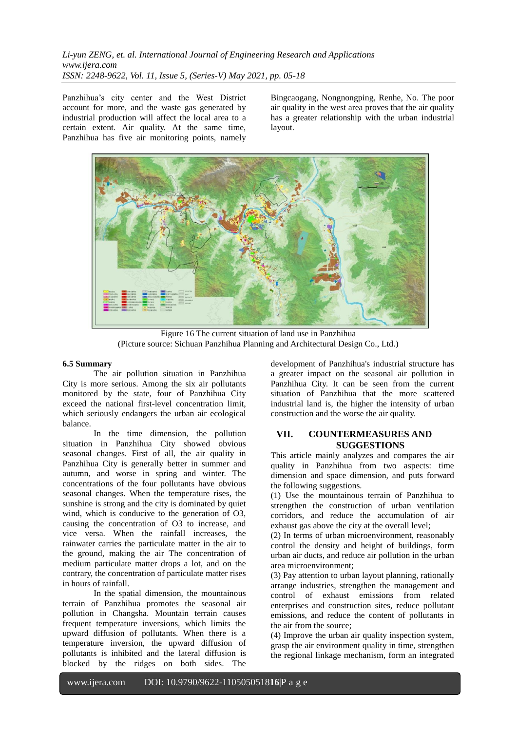Panzhihua's city center and the West District account for more, and the waste gas generated by industrial production will affect the local area to a certain extent. Air quality. At the same time, Panzhihua has five air monitoring points, namely Bingcaogang, Nongnongping, Renhe, No. The poor air quality in the west area proves that the air quality has a greater relationship with the urban industrial layout.



Figure 16 The current situation of land use in Panzhihua (Picture source: Sichuan Panzhihua Planning and Architectural Design Co., Ltd.)

## **6.5 Summary**

The air pollution situation in Panzhihua City is more serious. Among the six air pollutants monitored by the state, four of Panzhihua City exceed the national first-level concentration limit, which seriously endangers the urban air ecological balance.

In the time dimension, the pollution situation in Panzhihua City showed obvious seasonal changes. First of all, the air quality in Panzhihua City is generally better in summer and autumn, and worse in spring and winter. The concentrations of the four pollutants have obvious seasonal changes. When the temperature rises, the sunshine is strong and the city is dominated by quiet wind, which is conducive to the generation of O3, causing the concentration of O3 to increase, and vice versa. When the rainfall increases, the rainwater carries the particulate matter in the air to the ground, making the air The concentration of medium particulate matter drops a lot, and on the contrary, the concentration of particulate matter rises in hours of rainfall.

In the spatial dimension, the mountainous terrain of Panzhihua promotes the seasonal air pollution in Changsha. Mountain terrain causes frequent temperature inversions, which limits the upward diffusion of pollutants. When there is a temperature inversion, the upward diffusion of pollutants is inhibited and the lateral diffusion is blocked by the ridges on both sides. The

development of Panzhihua's industrial structure has a greater impact on the seasonal air pollution in Panzhihua City. It can be seen from the current situation of Panzhihua that the more scattered industrial land is, the higher the intensity of urban construction and the worse the air quality.

## **VII. COUNTERMEASURES AND SUGGESTIONS**

This article mainly analyzes and compares the air quality in Panzhihua from two aspects: time dimension and space dimension, and puts forward the following suggestions.

(1) Use the mountainous terrain of Panzhihua to strengthen the construction of urban ventilation corridors, and reduce the accumulation of air exhaust gas above the city at the overall level;

(2) In terms of urban microenvironment, reasonably control the density and height of buildings, form urban air ducts, and reduce air pollution in the urban area microenvironment;

(3) Pay attention to urban layout planning, rationally arrange industries, strengthen the management and control of exhaust emissions from related enterprises and construction sites, reduce pollutant emissions, and reduce the content of pollutants in the air from the source;

(4) Improve the urban air quality inspection system, grasp the air environment quality in time, strengthen the regional linkage mechanism, form an integrated